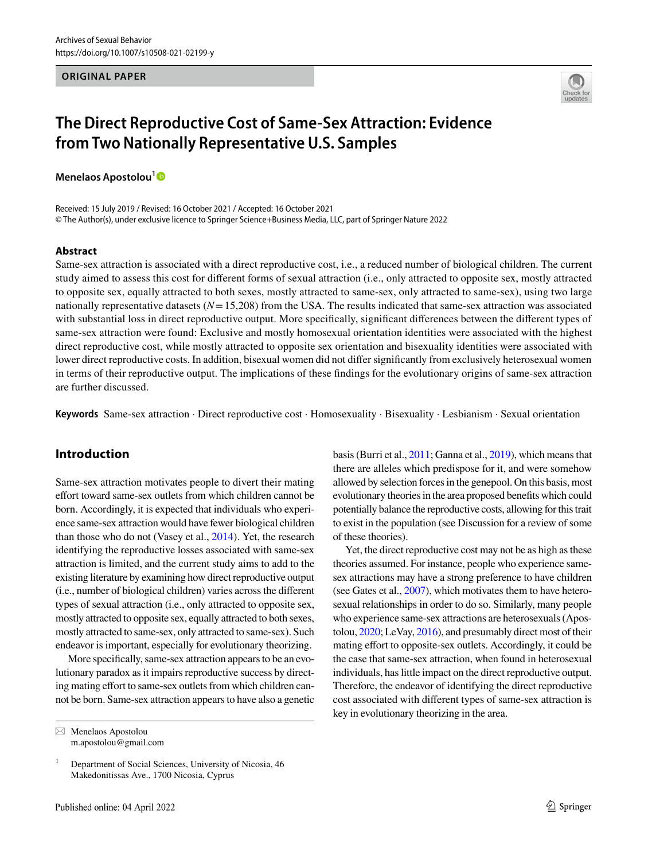#### **ORIGINAL PAPER**



# **The Direct Reproductive Cost of Same‑Sex Attraction: Evidence from Two Nationally Representative U.S. Samples**

**Menelaos Apostolou[1](http://orcid.org/0000-0002-0685-1848)**

Received: 15 July 2019 / Revised: 16 October 2021 / Accepted: 16 October 2021 © The Author(s), under exclusive licence to Springer Science+Business Media, LLC, part of Springer Nature 2022

#### **Abstract**

Same-sex attraction is associated with a direct reproductive cost, i.e., a reduced number of biological children. The current study aimed to assess this cost for different forms of sexual attraction (i.e., only attracted to opposite sex, mostly attracted to opposite sex, equally attracted to both sexes, mostly attracted to same-sex, only attracted to same-sex), using two large nationally representative datasets  $(N=15,208)$  from the USA. The results indicated that same-sex attraction was associated with substantial loss in direct reproductive output. More specifically, significant differences between the different types of same-sex attraction were found: Exclusive and mostly homosexual orientation identities were associated with the highest direct reproductive cost, while mostly attracted to opposite sex orientation and bisexuality identities were associated with lower direct reproductive costs. In addition, bisexual women did not differ significantly from exclusively heterosexual women in terms of their reproductive output. The implications of these findings for the evolutionary origins of same-sex attraction are further discussed.

**Keywords** Same-sex attraction · Direct reproductive cost · Homosexuality · Bisexuality · Lesbianism · Sexual orientation

# **Introduction**

Same-sex attraction motivates people to divert their mating effort toward same-sex outlets from which children cannot be born. Accordingly, it is expected that individuals who experience same-sex attraction would have fewer biological children than those who do not (Vasey et al., [2014\)](#page-7-0). Yet, the research identifying the reproductive losses associated with same-sex attraction is limited, and the current study aims to add to the existing literature by examining how direct reproductive output (i.e., number of biological children) varies across the different types of sexual attraction (i.e., only attracted to opposite sex, mostly attracted to opposite sex, equally attracted to both sexes, mostly attracted to same-sex, only attracted to same-sex). Such endeavor is important, especially for evolutionary theorizing.

More specifically, same-sex attraction appears to be an evolutionary paradox as it impairs reproductive success by directing mating effort to same-sex outlets from which children cannot be born. Same-sex attraction appears to have also a genetic

 $\boxtimes$  Menelaos Apostolou m.apostolou@gmail.com basis (Burri et al., [2011;](#page-7-1) Ganna et al., [2019\)](#page-7-2), which means that there are alleles which predispose for it, and were somehow allowed by selection forces in the genepool. On this basis, most evolutionary theories in the area proposed benefits which could potentially balance the reproductive costs, allowing for this trait to exist in the population (see Discussion for a review of some of these theories).

Yet, the direct reproductive cost may not be as high as these theories assumed. For instance, people who experience samesex attractions may have a strong preference to have children (see Gates et al., [2007](#page-7-3)), which motivates them to have heterosexual relationships in order to do so. Similarly, many people who experience same-sex attractions are heterosexuals (Apostolou, [2020;](#page-6-0) LeVay, [2016](#page-7-4)), and presumably direct most of their mating effort to opposite-sex outlets. Accordingly, it could be the case that same-sex attraction, when found in heterosexual individuals, has little impact on the direct reproductive output. Therefore, the endeavor of identifying the direct reproductive cost associated with different types of same-sex attraction is key in evolutionary theorizing in the area.

<sup>1</sup> Department of Social Sciences, University of Nicosia, 46 Makedonitissas Ave., 1700 Nicosia, Cyprus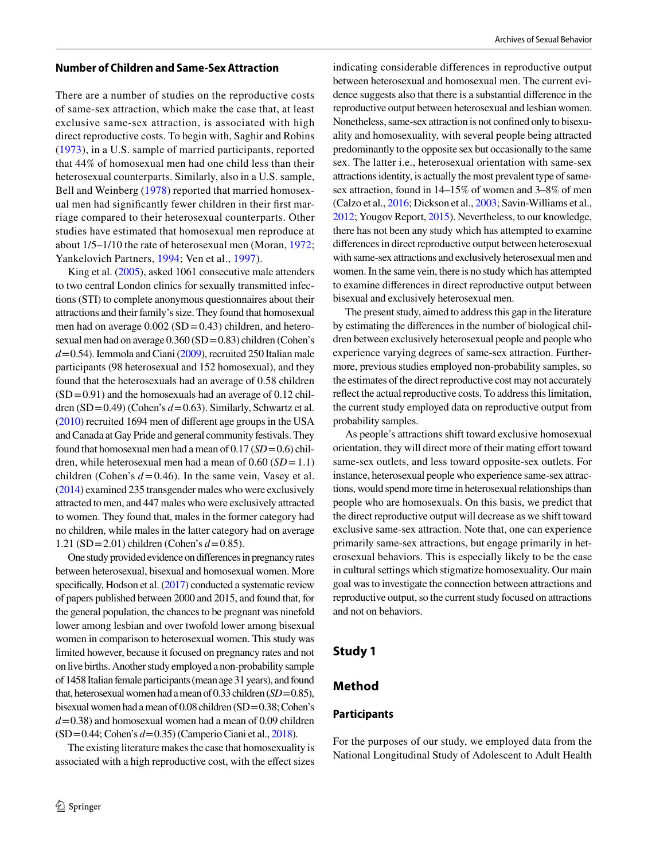#### **Number of Children and Same‑Sex Attraction**

There are a number of studies on the reproductive costs of same-sex attraction, which make the case that, at least exclusive same-sex attraction, is associated with high direct reproductive costs. To begin with, Saghir and Robins ([1973](#page-7-5)), in a U.S. sample of married participants, reported that 44% of homosexual men had one child less than their heterosexual counterparts. Similarly, also in a U.S. sample, Bell and Weinberg ([1978\)](#page-6-1) reported that married homosexual men had significantly fewer children in their first marriage compared to their heterosexual counterparts. Other studies have estimated that homosexual men reproduce at about 1/5–1/10 the rate of heterosexual men (Moran, [1972](#page-7-6); Yankelovich Partners, [1994](#page-7-7); Ven et al., [1997](#page-7-8)).

King et al. ([2005\)](#page-7-9), asked 1061 consecutive male attenders to two central London clinics for sexually transmitted infections (STI) to complete anonymous questionnaires about their attractions and their family's size. They found that homosexual men had on average  $0.002$  (SD = 0.43) children, and heterosexual men had on average  $0.360$  (SD = 0.83) children (Cohen's  $d = 0.54$ ). Iemmola and Ciani ([2009](#page-7-10)), recruited 250 Italian male participants (98 heterosexual and 152 homosexual), and they found that the heterosexuals had an average of 0.58 children  $(SD=0.91)$  and the homosexuals had an average of 0.12 children  $(SD = 0.49)$  (Cohen's  $d = 0.63$ ). Similarly, Schwartz et al. [\(2010\)](#page-7-11) recruited 1694 men of different age groups in the USA and Canada at Gay Pride and general community festivals. They found that homosexual men had a mean of 0.17 (*SD* = 0.6) children, while heterosexual men had a mean of  $0.60$  (*SD* = 1.1) children (Cohen's  $d = 0.46$ ). In the same vein, Vasey et al. [\(2014\)](#page-7-0) examined 235 transgender males who were exclusively attracted to men, and 447 males who were exclusively attracted to women. They found that, males in the former category had no children, while males in the latter category had on average 1.21 (SD = 2.01) children (Cohen's  $d = 0.85$ ).

One study provided evidence on differences in pregnancy rates between heterosexual, bisexual and homosexual women. More specifically, Hodson et al. [\(2017](#page-7-12)) conducted a systematic review of papers published between 2000 and 2015, and found that, for the general population, the chances to be pregnant was ninefold lower among lesbian and over twofold lower among bisexual women in comparison to heterosexual women. This study was limited however, because it focused on pregnancy rates and not on live births. Another study employed a non-probability sample of 1458 Italian female participants (mean age 31 years), and found that, heterosexual women had a mean of 0.33 children (*SD* = 0.85), bisexual women had a mean of 0.08 children (SD = 0.38; Cohen's  $d = 0.38$ ) and homosexual women had a mean of 0.09 children (SD = 0.44; Cohen's *d* = 0.35) (Camperio Ciani et al., [2018\)](#page-7-13).

The existing literature makes the case that homosexuality is associated with a high reproductive cost, with the effect sizes indicating considerable differences in reproductive output between heterosexual and homosexual men. The current evidence suggests also that there is a substantial difference in the reproductive output between heterosexual and lesbian women. Nonetheless, same-sex attraction is not confined only to bisexuality and homosexuality, with several people being attracted predominantly to the opposite sex but occasionally to the same sex. The latter i.e., heterosexual orientation with same-sex attractions identity, is actually the most prevalent type of samesex attraction, found in 14–15% of women and 3–8% of men (Calzo et al., [2016](#page-7-14); Dickson et al., [2003;](#page-7-15) Savin-Williams et al., [2012;](#page-7-16) Yougov Report, [2015](#page-7-17)). Nevertheless, to our knowledge, there has not been any study which has attempted to examine differences in direct reproductive output between heterosexual with same-sex attractions and exclusively heterosexual men and women. In the same vein, there is no study which has attempted to examine differences in direct reproductive output between bisexual and exclusively heterosexual men.

The present study, aimed to address this gap in the literature by estimating the differences in the number of biological children between exclusively heterosexual people and people who experience varying degrees of same-sex attraction. Furthermore, previous studies employed non-probability samples, so the estimates of the direct reproductive cost may not accurately reflect the actual reproductive costs. To address this limitation, the current study employed data on reproductive output from probability samples.

As people's attractions shift toward exclusive homosexual orientation, they will direct more of their mating effort toward same-sex outlets, and less toward opposite-sex outlets. For instance, heterosexual people who experience same-sex attractions, would spend more time in heterosexual relationships than people who are homosexuals. On this basis, we predict that the direct reproductive output will decrease as we shift toward exclusive same-sex attraction. Note that, one can experience primarily same-sex attractions, but engage primarily in heterosexual behaviors. This is especially likely to be the case in cultural settings which stigmatize homosexuality. Our main goal was to investigate the connection between attractions and reproductive output, so the current study focused on attractions and not on behaviors.

## **Study 1**

## **Method**

#### **Participants**

For the purposes of our study, we employed data from the National Longitudinal Study of Adolescent to Adult Health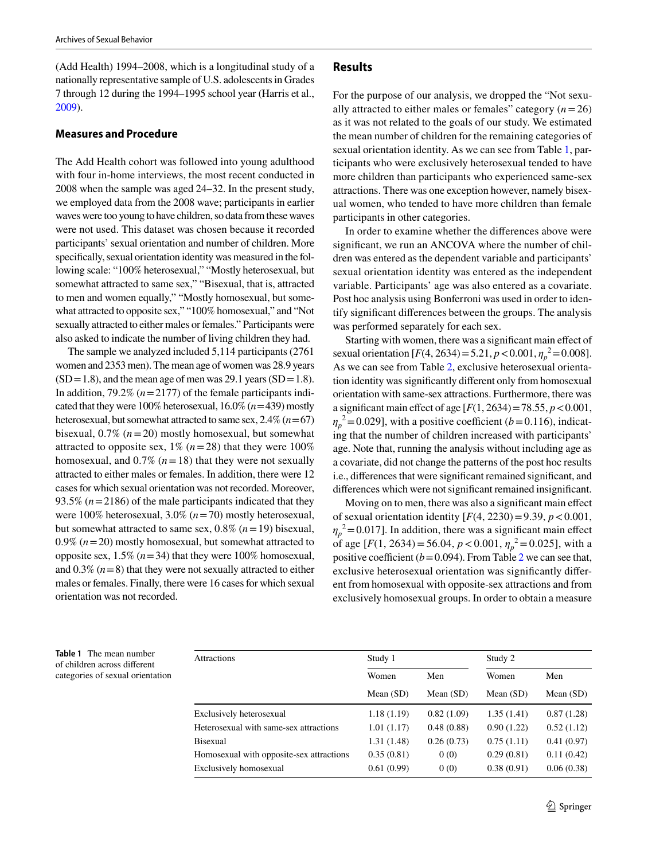(Add Health) 1994–2008, which is a longitudinal study of a nationally representative sample of U.S. adolescents in Grades 7 through 12 during the 1994–1995 school year (Harris et al., [2009\)](#page-7-18).

#### **Measures and Procedure**

The Add Health cohort was followed into young adulthood with four in-home interviews, the most recent conducted in 2008 when the sample was aged 24–32. In the present study, we employed data from the 2008 wave; participants in earlier waves were too young to have children, so data from these waves were not used. This dataset was chosen because it recorded participants' sexual orientation and number of children. More specifically, sexual orientation identity was measured in the following scale: "100% heterosexual," "Mostly heterosexual, but somewhat attracted to same sex," "Bisexual, that is, attracted to men and women equally," "Mostly homosexual, but somewhat attracted to opposite sex," "100% homosexual," and "Not sexually attracted to either males or females." Participants were also asked to indicate the number of living children they had.

The sample we analyzed included 5,114 participants (2761 women and 2353 men). The mean age of women was 28.9 years  $(SD=1.8)$ , and the mean age of men was 29.1 years  $(SD=1.8)$ . In addition,  $79.2\%$  ( $n = 2177$ ) of the female participants indicated that they were  $100\%$  heterosexual,  $16.0\%$   $(n=439)$  mostly heterosexual, but somewhat attracted to same sex,  $2.4\%$  ( $n = 67$ ) bisexual, 0.7% (*n* = 20) mostly homosexual, but somewhat attracted to opposite sex,  $1\%$  ( $n = 28$ ) that they were  $100\%$ homosexual, and  $0.7\%$  ( $n = 18$ ) that they were not sexually attracted to either males or females. In addition, there were 12 cases for which sexual orientation was not recorded. Moreover, 93.5% (*n* = 2186) of the male participants indicated that they were 100% heterosexual, 3.0% (*n* = 70) mostly heterosexual, but somewhat attracted to same sex,  $0.8\%$  ( $n = 19$ ) bisexual, 0.9% (*n* = 20) mostly homosexual, but somewhat attracted to opposite sex,  $1.5\%$  ( $n = 34$ ) that they were 100% homosexual, and  $0.3\%$  ( $n=8$ ) that they were not sexually attracted to either males or females. Finally, there were 16 cases for which sexual orientation was not recorded.

#### **Results**

For the purpose of our analysis, we dropped the "Not sexually attracted to either males or females" category  $(n = 26)$ as it was not related to the goals of our study. We estimated the mean number of children for the remaining categories of sexual orientation identity. As we can see from Table [1,](#page-2-0) participants who were exclusively heterosexual tended to have more children than participants who experienced same-sex attractions. There was one exception however, namely bisexual women, who tended to have more children than female participants in other categories.

In order to examine whether the differences above were significant, we run an ANCOVA where the number of children was entered as the dependent variable and participants' sexual orientation identity was entered as the independent variable. Participants' age was also entered as a covariate. Post hoc analysis using Bonferroni was used in order to identify significant differences between the groups. The analysis was performed separately for each sex.

Starting with women, there was a significant main effect of sexual orientation  $[F(4, 2634) = 5.21, p < 0.001, \eta_p^2 = 0.008]$ . As we can see from Table [2,](#page-3-0) exclusive heterosexual orientation identity was significantly different only from homosexual orientation with same-sex attractions. Furthermore, there was a significant main effect of age [*F*(1, 2634) = 78.55, *p* < 0.001,  $\eta_p^2$  = 0.029], with a positive coefficient (*b* = 0.116), indicating that the number of children increased with participants' age. Note that, running the analysis without including age as a covariate, did not change the patterns of the post hoc results i.e., differences that were significant remained significant, and differences which were not significant remained insignificant.

Moving on to men, there was also a significant main effect of sexual orientation identity  $[F(4, 2230) = 9.39, p < 0.001,$  $\eta_p^2$  = 0.017]. In addition, there was a significant main effect of age  $[F(1, 2634) = 56.04, p < 0.001, \eta_p^2 = 0.025]$ , with a positive coefficient ( $b = 0.094$ ). From Table [2](#page-3-0) we can see that, exclusive heterosexual orientation was significantly different from homosexual with opposite-sex attractions and from exclusively homosexual groups. In order to obtain a measure

<span id="page-2-0"></span>**Table 1** The mean number of children across different categories of sexual orientation

| <b>Attractions</b>                       | Study 1              |                    | Study 2              |                    |
|------------------------------------------|----------------------|--------------------|----------------------|--------------------|
|                                          | Women<br>Mean $(SD)$ | Men<br>Mean $(SD)$ | Women<br>Mean $(SD)$ | Men<br>Mean $(SD)$ |
|                                          |                      |                    |                      |                    |
| Heterosexual with same-sex attractions   | 1.01(1.17)           | 0.48(0.88)         | 0.90(1.22)           | 0.52(1.12)         |
| <b>Bisexual</b>                          | 1.31(1.48)           | 0.26(0.73)         | 0.75(1.11)           | 0.41(0.97)         |
| Homosexual with opposite-sex attractions | 0.35(0.81)           | 0(0)               | 0.29(0.81)           | 0.11(0.42)         |
| Exclusively homosexual                   | 0.61(0.99)           | 0(0)               | 0.38(0.91)           | 0.06(0.38)         |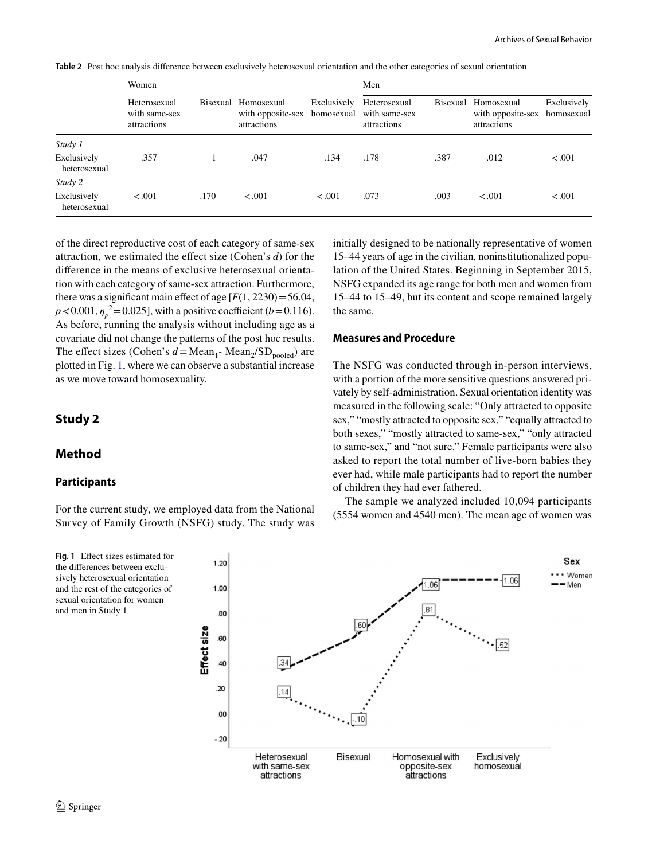Women Men Heterosexual with same-sex attractions Bisexual Homosexual with opposite-sex attractions Exclusively homosexual Heterosexual with same-sex attractions Bisexual Homosexual with opposite-sex attractions Exclusively homosexual *Study 1* Exclusively heterosexual .357 1 .047 .134 .178 .387 .012 < .001 *Study 2* Exclusively heterosexual < .001 .170 < .001 < .001 .073 .003 < .001 < .001

<span id="page-3-0"></span>**Table 2** Post hoc analysis difference between exclusively heterosexual orientation and the other categories of sexual orientation

of the direct reproductive cost of each category of same-sex attraction, we estimated the effect size (Cohen's *d*) for the difference in the means of exclusive heterosexual orientation with each category of same-sex attraction. Furthermore, there was a significant main effect of age  $[F(1, 2230) = 56.04]$ ,  $p < 0.001$ ,  $\eta_p^2 = 0.025$ ], with a positive coefficient (*b* = 0.116). As before, running the analysis without including age as a covariate did not change the patterns of the post hoc results. The effect sizes (Cohen's  $d = \text{Mean}_1$ -  $\text{Mean}_2 / \text{SD}_{\text{pooled}}$ ) are plotted in Fig. [1,](#page-3-1) where we can observe a substantial increase as we move toward homosexuality.

# **Study 2**

## **Method**

## **Participants**

For the current study, we employed data from the National Survey of Family Growth (NSFG) study. The study was

<span id="page-3-1"></span>**Fig. 1** Effect sizes estimated for the differences between exclusively heterosexual orientation and the rest of the categories of sexual orientation for women and men in Study 1

initially designed to be nationally representative of women 15–44 years of age in the civilian, noninstitutionalized population of the United States. Beginning in September 2015, NSFG expanded its age range for both men and women from 15–44 to 15–49, but its content and scope remained largely the same.

### **Measures and Procedure**

The NSFG was conducted through in-person interviews, with a portion of the more sensitive questions answered privately by self-administration. Sexual orientation identity was measured in the following scale: "Only attracted to opposite sex," "mostly attracted to opposite sex," "equally attracted to both sexes," "mostly attracted to same-sex," "only attracted to same-sex," and "not sure." Female participants were also asked to report the total number of live-born babies they ever had, while male participants had to report the number of children they had ever fathered.

The sample we analyzed included 10,094 participants (5554 women and 4540 men). The mean age of women was

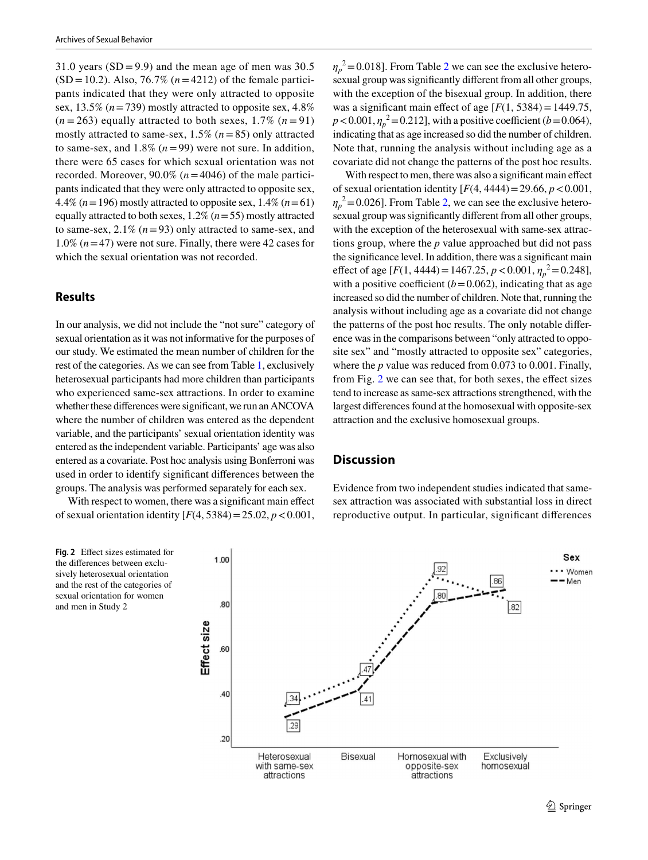31.0 years  $(SD = 9.9)$  and the mean age of men was 30.5  $(SD = 10.2)$ . Also, 76.7% ( $n = 4212$ ) of the female participants indicated that they were only attracted to opposite sex,  $13.5\%$  ( $n = 739$ ) mostly attracted to opposite sex,  $4.8\%$  $(n=263)$  equally attracted to both sexes, 1.7%  $(n=91)$ mostly attracted to same-sex,  $1.5\%$  ( $n = 85$ ) only attracted to same-sex, and  $1.8\%$  ( $n = 99$ ) were not sure. In addition, there were 65 cases for which sexual orientation was not recorded. Moreover,  $90.0\%$  ( $n = 4046$ ) of the male participants indicated that they were only attracted to opposite sex, 4.4% ( $n = 196$ ) mostly attracted to opposite sex, 1.4% ( $n = 61$ ) equally attracted to both sexes, 1.2% (*n* = 55) mostly attracted to same-sex,  $2.1\%$  ( $n = 93$ ) only attracted to same-sex, and 1.0% (*n* = 47) were not sure. Finally, there were 42 cases for which the sexual orientation was not recorded.

## **Results**

and men in Study 2

In our analysis, we did not include the "not sure" category of sexual orientation as it was not informative for the purposes of our study. We estimated the mean number of children for the rest of the categories. As we can see from Table [1](#page-2-0), exclusively heterosexual participants had more children than participants who experienced same-sex attractions. In order to examine whether these differences were significant, we run an ANCOVA where the number of children was entered as the dependent variable, and the participants' sexual orientation identity was entered as the independent variable. Participants' age was also entered as a covariate. Post hoc analysis using Bonferroni was used in order to identify significant differences between the groups. The analysis was performed separately for each sex.

With respect to women, there was a significant main effect of sexual orientation identity  $[F(4, 5384) = 25.02, p < 0.001,$ 



With respect to men, there was also a significant main effect of sexual orientation identity [*F*(4, 4444) = 29.66, *p* < 0.001,  $\eta_p^2$  = 0.026]. From Table [2,](#page-3-0) we can see the exclusive heterosexual group was significantly different from all other groups, with the exception of the heterosexual with same-sex attractions group, where the *p* value approached but did not pass the significance level. In addition, there was a significant main effect of age  $[F(1, 4444) = 1467.25, p < 0.001, \eta_p^2 = 0.248]$ , with a positive coefficient  $(b=0.062)$ , indicating that as age increased so did the number of children. Note that, running the analysis without including age as a covariate did not change the patterns of the post hoc results. The only notable difference was in the comparisons between "only attracted to opposite sex" and "mostly attracted to opposite sex" categories, where the *p* value was reduced from 0.073 to 0.001. Finally, from Fig. [2](#page-4-0) we can see that, for both sexes, the effect sizes tend to increase as same-sex attractions strengthened, with the largest differences found at the homosexual with opposite-sex attraction and the exclusive homosexual groups.

## **Discussion**

Evidence from two independent studies indicated that samesex attraction was associated with substantial loss in direct reproductive output. In particular, significant differences

<span id="page-4-0"></span>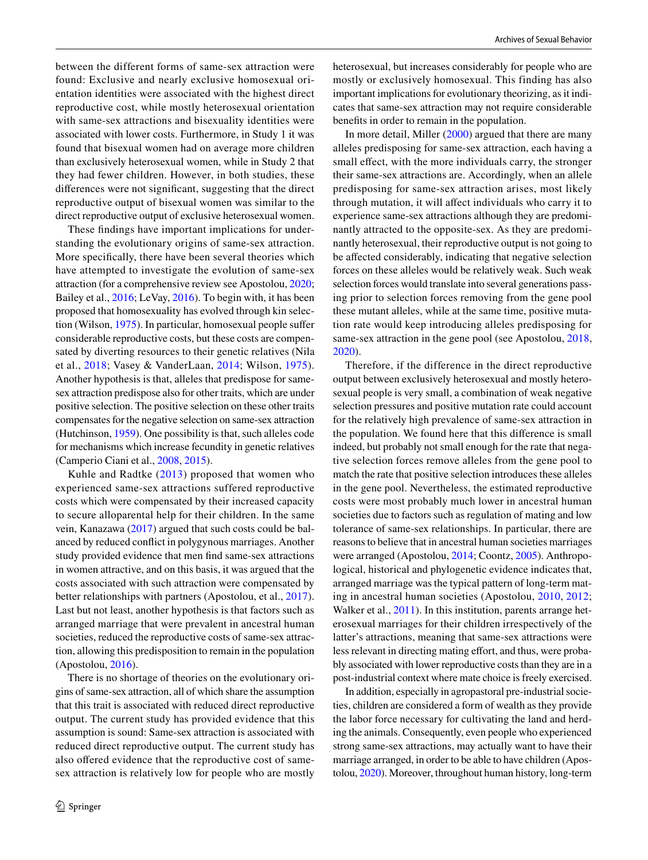between the different forms of same-sex attraction were found: Exclusive and nearly exclusive homosexual orientation identities were associated with the highest direct reproductive cost, while mostly heterosexual orientation with same-sex attractions and bisexuality identities were associated with lower costs. Furthermore, in Study 1 it was found that bisexual women had on average more children than exclusively heterosexual women, while in Study 2 that they had fewer children. However, in both studies, these differences were not significant, suggesting that the direct reproductive output of bisexual women was similar to the direct reproductive output of exclusive heterosexual women.

These findings have important implications for understanding the evolutionary origins of same-sex attraction. More specifically, there have been several theories which have attempted to investigate the evolution of same-sex attraction (for a comprehensive review see Apostolou, [2020](#page-6-0); Bailey et al., [2016](#page-6-2); LeVay, [2016\)](#page-7-4). To begin with, it has been proposed that homosexuality has evolved through kin selection (Wilson, [1975\)](#page-7-19). In particular, homosexual people suffer considerable reproductive costs, but these costs are compensated by diverting resources to their genetic relatives (Nila et al., [2018](#page-7-20); Vasey & VanderLaan, [2014;](#page-7-21) Wilson, [1975](#page-7-19)). Another hypothesis is that, alleles that predispose for samesex attraction predispose also for other traits, which are under positive selection. The positive selection on these other traits compensates for the negative selection on same-sex attraction (Hutchinson, [1959\)](#page-7-22). One possibility is that, such alleles code for mechanisms which increase fecundity in genetic relatives (Camperio Ciani et al., [2008,](#page-7-23) [2015\)](#page-7-24).

Kuhle and Radtke ([2013\)](#page-7-25) proposed that women who experienced same-sex attractions suffered reproductive costs which were compensated by their increased capacity to secure alloparental help for their children. In the same vein, Kanazawa [\(2017\)](#page-7-26) argued that such costs could be balanced by reduced conflict in polygynous marriages. Another study provided evidence that men find same-sex attractions in women attractive, and on this basis, it was argued that the costs associated with such attraction were compensated by better relationships with partners (Apostolou, et al., [2017](#page-6-3)). Last but not least, another hypothesis is that factors such as arranged marriage that were prevalent in ancestral human societies, reduced the reproductive costs of same-sex attraction, allowing this predisposition to remain in the population (Apostolou, [2016](#page-6-4)).

There is no shortage of theories on the evolutionary origins of same-sex attraction, all of which share the assumption that this trait is associated with reduced direct reproductive output. The current study has provided evidence that this assumption is sound: Same-sex attraction is associated with reduced direct reproductive output. The current study has also offered evidence that the reproductive cost of samesex attraction is relatively low for people who are mostly heterosexual, but increases considerably for people who are mostly or exclusively homosexual. This finding has also important implications for evolutionary theorizing, as it indicates that same-sex attraction may not require considerable benefits in order to remain in the population.

In more detail, Miller ([2000\)](#page-7-27) argued that there are many alleles predisposing for same-sex attraction, each having a small effect, with the more individuals carry, the stronger their same-sex attractions are. Accordingly, when an allele predisposing for same-sex attraction arises, most likely through mutation, it will affect individuals who carry it to experience same-sex attractions although they are predominantly attracted to the opposite-sex. As they are predominantly heterosexual, their reproductive output is not going to be affected considerably, indicating that negative selection forces on these alleles would be relatively weak. Such weak selection forces would translate into several generations passing prior to selection forces removing from the gene pool these mutant alleles, while at the same time, positive mutation rate would keep introducing alleles predisposing for same-sex attraction in the gene pool (see Apostolou, [2018,](#page-6-5) [2020](#page-6-0)).

Therefore, if the difference in the direct reproductive output between exclusively heterosexual and mostly heterosexual people is very small, a combination of weak negative selection pressures and positive mutation rate could account for the relatively high prevalence of same-sex attraction in the population. We found here that this difference is small indeed, but probably not small enough for the rate that negative selection forces remove alleles from the gene pool to match the rate that positive selection introduces these alleles in the gene pool. Nevertheless, the estimated reproductive costs were most probably much lower in ancestral human societies due to factors such as regulation of mating and low tolerance of same-sex relationships. In particular, there are reasons to believe that in ancestral human societies marriages were arranged (Apostolou, [2014](#page-6-6); Coontz, [2005](#page-7-28)). Anthropological, historical and phylogenetic evidence indicates that, arranged marriage was the typical pattern of long-term mating in ancestral human societies (Apostolou, [2010](#page-6-7), [2012](#page-6-8); Walker et al., [2011](#page-7-29)). In this institution, parents arrange heterosexual marriages for their children irrespectively of the latter's attractions, meaning that same-sex attractions were less relevant in directing mating effort, and thus, were probably associated with lower reproductive costs than they are in a post-industrial context where mate choice is freely exercised.

In addition, especially in agropastoral pre-industrial societies, children are considered a form of wealth as they provide the labor force necessary for cultivating the land and herding the animals. Consequently, even people who experienced strong same-sex attractions, may actually want to have their marriage arranged, in order to be able to have children (Apostolou, [2020](#page-6-0)). Moreover, throughout human history, long-term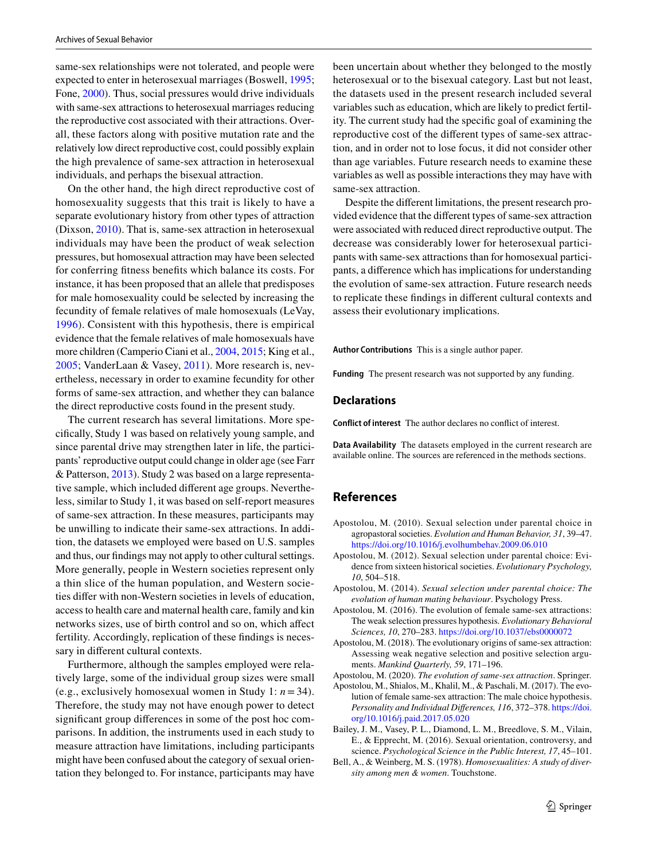same-sex relationships were not tolerated, and people were expected to enter in heterosexual marriages (Boswell, [1995](#page-7-30); Fone, [2000](#page-7-31)). Thus, social pressures would drive individuals with same-sex attractions to heterosexual marriages reducing the reproductive cost associated with their attractions. Overall, these factors along with positive mutation rate and the relatively low direct reproductive cost, could possibly explain the high prevalence of same-sex attraction in heterosexual individuals, and perhaps the bisexual attraction.

On the other hand, the high direct reproductive cost of homosexuality suggests that this trait is likely to have a separate evolutionary history from other types of attraction (Dixson, [2010](#page-7-32)). That is, same-sex attraction in heterosexual individuals may have been the product of weak selection pressures, but homosexual attraction may have been selected for conferring fitness benefits which balance its costs. For instance, it has been proposed that an allele that predisposes for male homosexuality could be selected by increasing the fecundity of female relatives of male homosexuals (LeVay, [1996\)](#page-7-33). Consistent with this hypothesis, there is empirical evidence that the female relatives of male homosexuals have more children (Camperio Ciani et al., [2004,](#page-7-34) [2015;](#page-7-24) King et al., [2005;](#page-7-9) VanderLaan & Vasey, [2011\)](#page-7-35). More research is, nevertheless, necessary in order to examine fecundity for other forms of same-sex attraction, and whether they can balance the direct reproductive costs found in the present study.

The current research has several limitations. More specifically, Study 1 was based on relatively young sample, and since parental drive may strengthen later in life, the participants' reproductive output could change in older age (see Farr & Patterson, [2013\)](#page-7-36). Study 2 was based on a large representative sample, which included different age groups. Nevertheless, similar to Study 1, it was based on self-report measures of same-sex attraction. In these measures, participants may be unwilling to indicate their same-sex attractions. In addition, the datasets we employed were based on U.S. samples and thus, our findings may not apply to other cultural settings. More generally, people in Western societies represent only a thin slice of the human population, and Western societies differ with non-Western societies in levels of education, access to health care and maternal health care, family and kin networks sizes, use of birth control and so on, which affect fertility. Accordingly, replication of these findings is necessary in different cultural contexts.

Furthermore, although the samples employed were relatively large, some of the individual group sizes were small (e.g., exclusively homosexual women in Study 1: *n* = 34). Therefore, the study may not have enough power to detect significant group differences in some of the post hoc comparisons. In addition, the instruments used in each study to measure attraction have limitations, including participants might have been confused about the category of sexual orientation they belonged to. For instance, participants may have been uncertain about whether they belonged to the mostly heterosexual or to the bisexual category. Last but not least, the datasets used in the present research included several variables such as education, which are likely to predict fertility. The current study had the specific goal of examining the reproductive cost of the different types of same-sex attraction, and in order not to lose focus, it did not consider other than age variables. Future research needs to examine these variables as well as possible interactions they may have with same-sex attraction.

Despite the different limitations, the present research provided evidence that the different types of same-sex attraction were associated with reduced direct reproductive output. The decrease was considerably lower for heterosexual participants with same-sex attractions than for homosexual participants, a difference which has implications for understanding the evolution of same-sex attraction. Future research needs to replicate these findings in different cultural contexts and assess their evolutionary implications.

**Author Contributions** This is a single author paper.

**Funding** The present research was not supported by any funding.

#### **Declarations**

**Conflict of interest** The author declares no conflict of interest.

**Data Availability** The datasets employed in the current research are available online. The sources are referenced in the methods sections.

## **References**

- <span id="page-6-7"></span>Apostolou, M. (2010). Sexual selection under parental choice in agropastoral societies. *Evolution and Human Behavior, 31*, 39–47. https://doi.org/10.1016/j.evolhumbehav.2009.06.010
- <span id="page-6-8"></span>Apostolou, M. (2012). Sexual selection under parental choice: Evidence from sixteen historical societies. *Evolutionary Psychology, 10*, 504–518.
- <span id="page-6-6"></span>Apostolou, M. (2014). *Sexual selection under parental choice: The evolution of human mating behaviour*. Psychology Press.
- <span id="page-6-4"></span>Apostolou, M. (2016). The evolution of female same-sex attractions: The weak selection pressures hypothesis. *Evolutionary Behavioral Sciences, 10, 270-283. https://doi.org/10.1037/ebs0000072*
- <span id="page-6-5"></span>Apostolou, M. (2018). The evolutionary origins of same-sex attraction: Assessing weak negative selection and positive selection arguments. *Mankind Quarterly, 59*, 171–196.

<span id="page-6-0"></span>Apostolou, M. (2020). *The evolution of same-sex attraction*. Springer.

- <span id="page-6-3"></span>Apostolou, M., Shialos, M., Khalil, M., & Paschali, M. (2017). The evolution of female same-sex attraction: The male choice hypothesis. *Personality and Individual Differences, 116*, 372–378. [https:// doi.](https://doi.org/10.1016/j.paid.2017.05.020) [org/ 10. 1016/j. paid. 2017. 05. 020](https://doi.org/10.1016/j.paid.2017.05.020)
- <span id="page-6-2"></span>Bailey, J. M., Vasey, P. L., Diamond, L. M., Breedlove, S. M., Vilain, E., & Epprecht, M. (2016). Sexual orientation, controversy, and science. *Psychological Science in the Public Interest, 17*, 45–101.
- <span id="page-6-1"></span>Bell, A., & Weinberg, M. S. (1978). *Homosexualities: A study of diversity among men & women*. Touchstone.